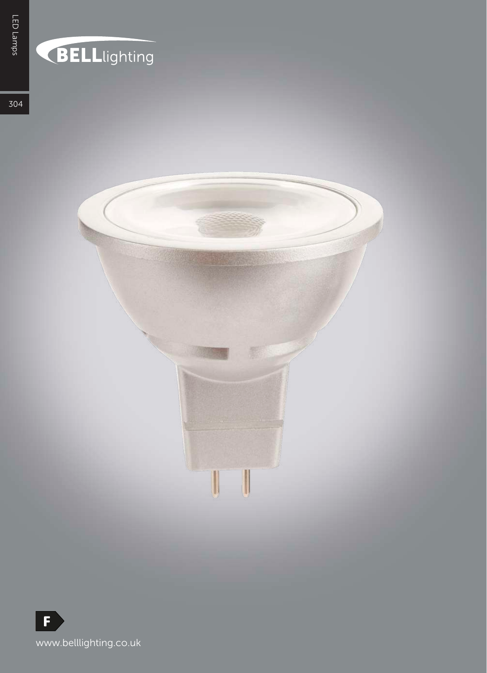## **BELL**lighting

温

U

304